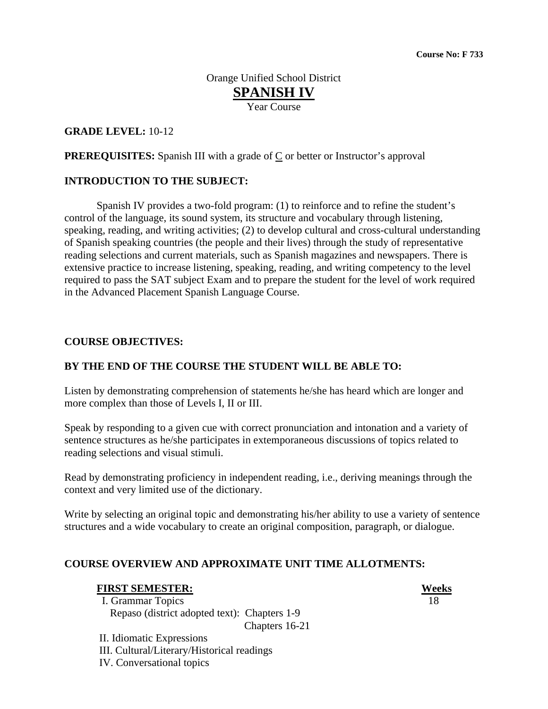Orange Unified School District **SPANISH IV** Year Course

# **GRADE LEVEL:** 10-12

**PREREQUISITES:** Spanish III with a grade of  $C$  or better or Instructor's approval

#### **INTRODUCTION TO THE SUBJECT:**

 Spanish IV provides a two-fold program: (1) to reinforce and to refine the student's control of the language, its sound system, its structure and vocabulary through listening, speaking, reading, and writing activities; (2) to develop cultural and cross-cultural understanding of Spanish speaking countries (the people and their lives) through the study of representative reading selections and current materials, such as Spanish magazines and newspapers. There is extensive practice to increase listening, speaking, reading, and writing competency to the level required to pass the SAT subject Exam and to prepare the student for the level of work required in the Advanced Placement Spanish Language Course.

#### **COURSE OBJECTIVES:**

## **BY THE END OF THE COURSE THE STUDENT WILL BE ABLE TO:**

Listen by demonstrating comprehension of statements he/she has heard which are longer and more complex than those of Levels I, II or III.

Speak by responding to a given cue with correct pronunciation and intonation and a variety of sentence structures as he/she participates in extemporaneous discussions of topics related to reading selections and visual stimuli.

Read by demonstrating proficiency in independent reading, i.e., deriving meanings through the context and very limited use of the dictionary.

Write by selecting an original topic and demonstrating his/her ability to use a variety of sentence structures and a wide vocabulary to create an original composition, paragraph, or dialogue.

## **COURSE OVERVIEW AND APPROXIMATE UNIT TIME ALLOTMENTS:**

#### **FIRST SEMESTER: Weeks**

I. Grammar Topics 18 Repaso (district adopted text): Chapters 1-9 Chapters 16-21

 II. Idiomatic Expressions III. Cultural/Literary/Historical readings IV. Conversational topics